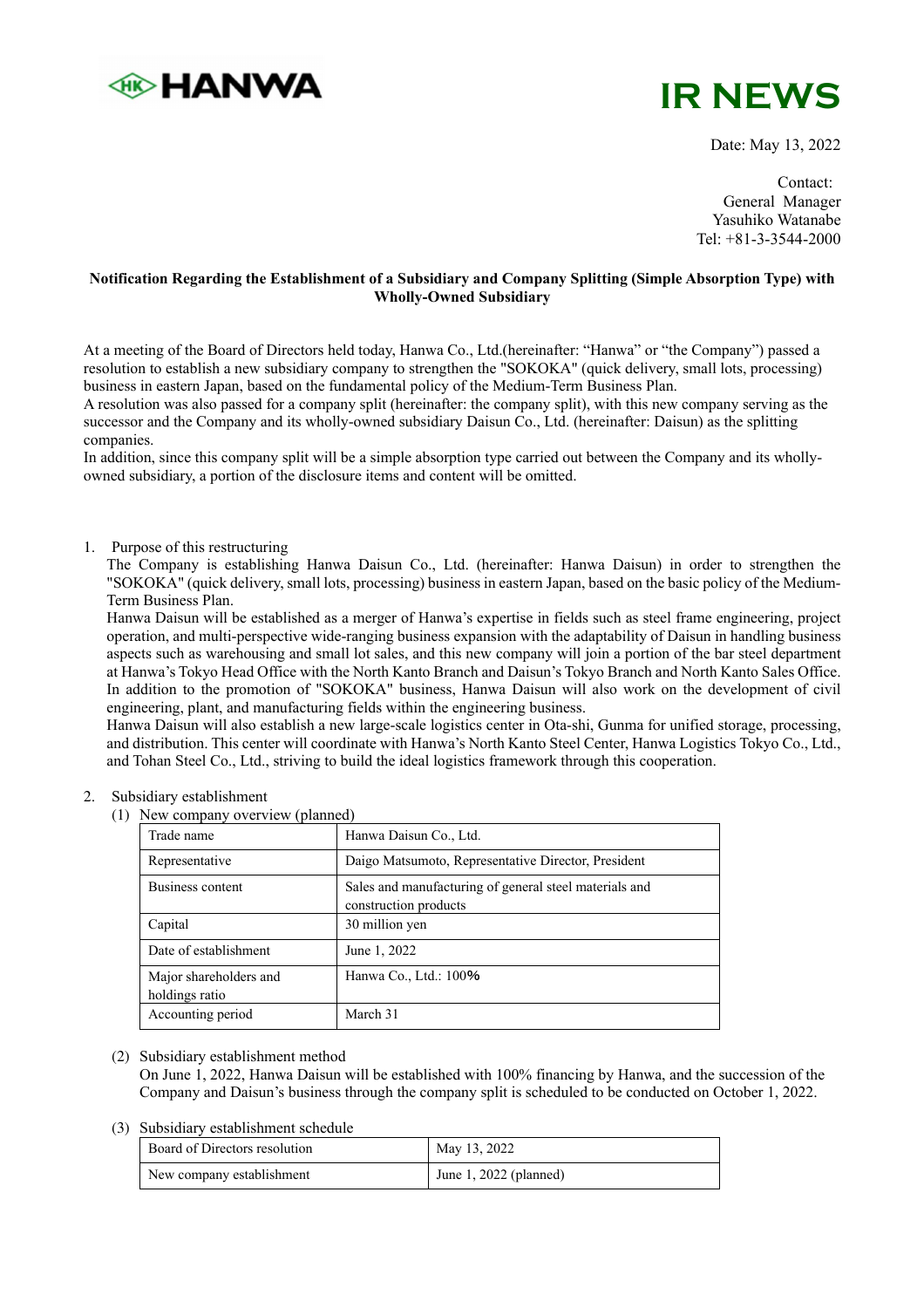



Date: May 13, 2022

Contact: General Manager Yasuhiko Watanabe Tel: +81-3-3544-2000

# **Notification Regarding the Establishment of a Subsidiary and Company Splitting (Simple Absorption Type) with Wholly-Owned Subsidiary**

At a meeting of the Board of Directors held today, Hanwa Co., Ltd.(hereinafter: "Hanwa" or "the Company") passed a resolution to establish a new subsidiary company to strengthen the "SOKOKA" (quick delivery, small lots, processing) business in eastern Japan, based on the fundamental policy of the Medium-Term Business Plan.

A resolution was also passed for a company split (hereinafter: the company split), with this new company serving as the successor and the Company and its wholly-owned subsidiary Daisun Co., Ltd. (hereinafter: Daisun) as the splitting companies.

In addition, since this company split will be a simple absorption type carried out between the Company and its whollyowned subsidiary, a portion of the disclosure items and content will be omitted.

## 1. Purpose of this restructuring

The Company is establishing Hanwa Daisun Co., Ltd. (hereinafter: Hanwa Daisun) in order to strengthen the "SOKOKA" (quick delivery, small lots, processing) business in eastern Japan, based on the basic policy of the Medium-Term Business Plan.

Hanwa Daisun will be established as a merger of Hanwa's expertise in fields such as steel frame engineering, project operation, and multi-perspective wide-ranging business expansion with the adaptability of Daisun in handling business aspects such as warehousing and small lot sales, and this new company will join a portion of the bar steel department at Hanwa's Tokyo Head Office with the North Kanto Branch and Daisun's Tokyo Branch and North Kanto Sales Office. In addition to the promotion of "SOKOKA" business, Hanwa Daisun will also work on the development of civil engineering, plant, and manufacturing fields within the engineering business.

Hanwa Daisun will also establish a new large-scale logistics center in Ota-shi, Gunma for unified storage, processing, and distribution. This center will coordinate with Hanwa's North Kanto Steel Center, Hanwa Logistics Tokyo Co., Ltd., and Tohan Steel Co., Ltd., striving to build the ideal logistics framework through this cooperation.

## Subsidiary establishment

(1) New company overview  $(n\lambda)$ 

| Trade name                               | Hanwa Daisun Co., Ltd.                                                          |
|------------------------------------------|---------------------------------------------------------------------------------|
| Representative                           | Daigo Matsumoto, Representative Director, President                             |
| <b>Business content</b>                  | Sales and manufacturing of general steel materials and<br>construction products |
| Capital                                  | 30 million yen                                                                  |
| Date of establishment                    | June 1, 2022                                                                    |
| Major shareholders and<br>holdings ratio | Hanwa Co., Ltd.: 100%                                                           |
| Accounting period                        | March 31                                                                        |

## (2) Subsidiary establishment method

On June 1, 2022, Hanwa Daisun will be established with 100% financing by Hanwa, and the succession of the Company and Daisun's business through the company split is scheduled to be conducted on October 1, 2022.

#### (3) Subsidiary establishment schedule

| Board of Directors resolution | May 13, 2022           |
|-------------------------------|------------------------|
| New company establishment     | June 1, 2022 (planned) |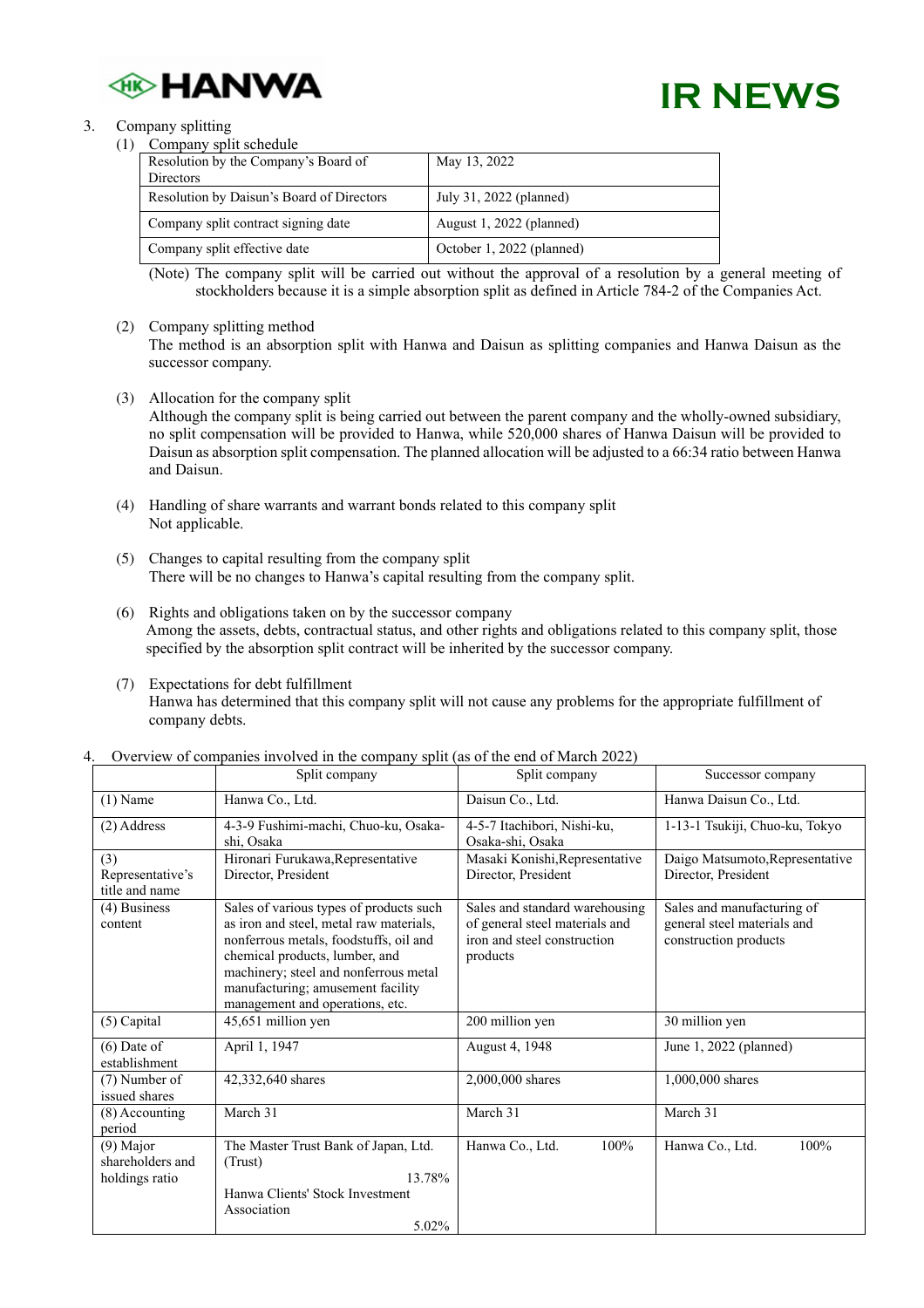

# **IR NEWS**

#### 3. Company splitting  $(1)$

| Company split schedule                    |                           |
|-------------------------------------------|---------------------------|
| Resolution by the Company's Board of      | May 13, 2022              |
| <b>Directors</b>                          |                           |
| Resolution by Daisun's Board of Directors | July 31, 2022 (planned)   |
| Company split contract signing date       | August 1, 2022 (planned)  |
| Company split effective date              | October 1, 2022 (planned) |

(Note) The company split will be carried out without the approval of a resolution by a general meeting of stockholders because it is a simple absorption split as defined in Article 784-2 of the Companies Act.

(2) Company splitting method

The method is an absorption split with Hanwa and Daisun as splitting companies and Hanwa Daisun as the successor company.

- (3) Allocation for the company split Although the company split is being carried out between the parent company and the wholly-owned subsidiary, no split compensation will be provided to Hanwa, while 520,000 shares of Hanwa Daisun will be provided to Daisun as absorption split compensation. The planned allocation will be adjusted to a 66:34 ratio between Hanwa and Daisun.
- (4) Handling of share warrants and warrant bonds related to this company split Not applicable.
- (5) Changes to capital resulting from the company split There will be no changes to Hanwa's capital resulting from the company split.
- (6) Rights and obligations taken on by the successor company Among the assets, debts, contractual status, and other rights and obligations related to this company split, those specified by the absorption split contract will be inherited by the successor company.
- (7) Expectations for debt fulfillment Hanwa has determined that this company split will not cause any problems for the appropriate fulfillment of company debts.

|                                                   | Split company                                                                                                                                                                                                                                                                   | Split company                                                                                               | Successor company                                                                  |
|---------------------------------------------------|---------------------------------------------------------------------------------------------------------------------------------------------------------------------------------------------------------------------------------------------------------------------------------|-------------------------------------------------------------------------------------------------------------|------------------------------------------------------------------------------------|
| $(1)$ Name                                        | Hanwa Co., Ltd.                                                                                                                                                                                                                                                                 | Daisun Co., Ltd.                                                                                            | Hanwa Daisun Co., Ltd.                                                             |
| (2) Address                                       | 4-3-9 Fushimi-machi, Chuo-ku, Osaka-<br>shi. Osaka                                                                                                                                                                                                                              | 4-5-7 Itachibori, Nishi-ku,<br>Osaka-shi, Osaka                                                             | 1-13-1 Tsukiji, Chuo-ku, Tokyo                                                     |
| (3)<br>Representative's<br>title and name         | Hironari Furukawa, Representative<br>Director, President                                                                                                                                                                                                                        | Masaki Konishi, Representative<br>Director, President                                                       | Daigo Matsumoto, Representative<br>Director, President                             |
| $(4)$ Business<br>content                         | Sales of various types of products such<br>as iron and steel, metal raw materials,<br>nonferrous metals, foodstuffs, oil and<br>chemical products, lumber, and<br>machinery; steel and nonferrous metal<br>manufacturing; amusement facility<br>management and operations, etc. | Sales and standard warehousing<br>of general steel materials and<br>iron and steel construction<br>products | Sales and manufacturing of<br>general steel materials and<br>construction products |
| (5) Capital                                       | 45,651 million yen                                                                                                                                                                                                                                                              | 200 million yen                                                                                             | 30 million yen                                                                     |
| $(6)$ Date of<br>establishment                    | April 1, 1947                                                                                                                                                                                                                                                                   | August 4, 1948                                                                                              | June 1, 2022 (planned)                                                             |
| (7) Number of<br>issued shares                    | 42,332,640 shares                                                                                                                                                                                                                                                               | 2,000,000 shares                                                                                            | 1,000,000 shares                                                                   |
| $(8)$ Accounting<br>period                        | March 31                                                                                                                                                                                                                                                                        | March 31                                                                                                    | March 31                                                                           |
| $(9)$ Major<br>shareholders and<br>holdings ratio | The Master Trust Bank of Japan, Ltd.<br>(Trust)<br>13.78%<br>Hanwa Clients' Stock Investment                                                                                                                                                                                    | 100%<br>Hanwa Co., Ltd.                                                                                     | 100%<br>Hanwa Co., Ltd.                                                            |
|                                                   | Association<br>5.02%                                                                                                                                                                                                                                                            |                                                                                                             |                                                                                    |

Overview of companies involved in the company split (as of the end of March 2022)